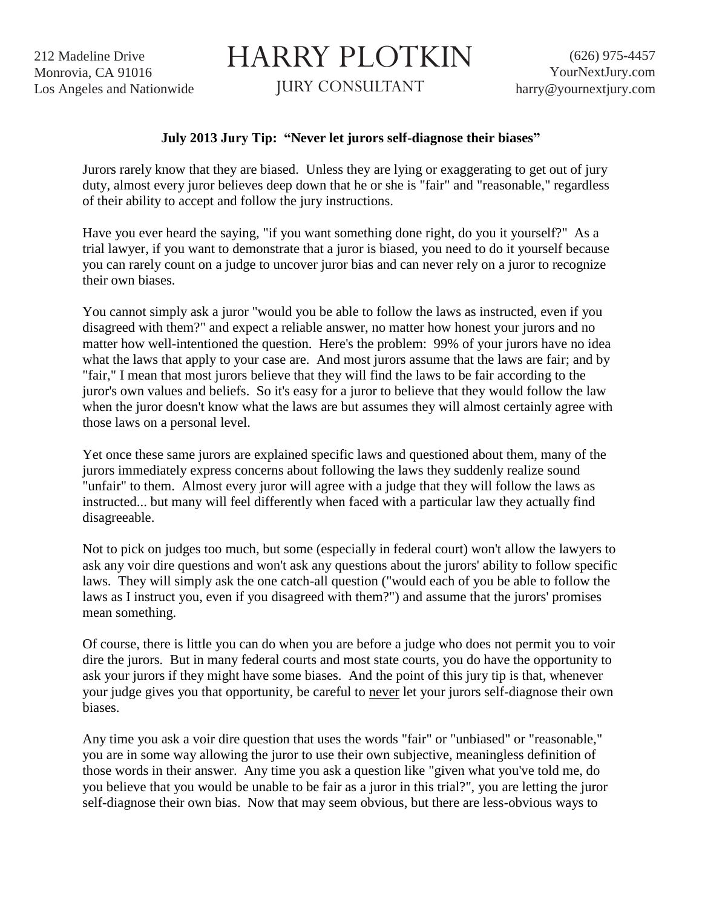212 Madeline Drive Monrovia, CA 91016 Los Angeles and Nationwide

## HARRY PLOTKIN

JURY CONSULTANT

## **July 2013 Jury Tip: "Never let jurors self-diagnose their biases"**

Jurors rarely know that they are biased. Unless they are lying or exaggerating to get out of jury duty, almost every juror believes deep down that he or she is "fair" and "reasonable," regardless of their ability to accept and follow the jury instructions.

Have you ever heard the saying, "if you want something done right, do you it yourself?" As a trial lawyer, if you want to demonstrate that a juror is biased, you need to do it yourself because you can rarely count on a judge to uncover juror bias and can never rely on a juror to recognize their own biases.

You cannot simply ask a juror "would you be able to follow the laws as instructed, even if you disagreed with them?" and expect a reliable answer, no matter how honest your jurors and no matter how well-intentioned the question. Here's the problem: 99% of your jurors have no idea what the laws that apply to your case are. And most jurors assume that the laws are fair; and by "fair," I mean that most jurors believe that they will find the laws to be fair according to the juror's own values and beliefs. So it's easy for a juror to believe that they would follow the law when the juror doesn't know what the laws are but assumes they will almost certainly agree with those laws on a personal level.

Yet once these same jurors are explained specific laws and questioned about them, many of the jurors immediately express concerns about following the laws they suddenly realize sound "unfair" to them. Almost every juror will agree with a judge that they will follow the laws as instructed... but many will feel differently when faced with a particular law they actually find disagreeable.

Not to pick on judges too much, but some (especially in federal court) won't allow the lawyers to ask any voir dire questions and won't ask any questions about the jurors' ability to follow specific laws. They will simply ask the one catch-all question ("would each of you be able to follow the laws as I instruct you, even if you disagreed with them?") and assume that the jurors' promises mean something.

Of course, there is little you can do when you are before a judge who does not permit you to voir dire the jurors. But in many federal courts and most state courts, you do have the opportunity to ask your jurors if they might have some biases. And the point of this jury tip is that, whenever your judge gives you that opportunity, be careful to never let your jurors self-diagnose their own biases.

Any time you ask a voir dire question that uses the words "fair" or "unbiased" or "reasonable," you are in some way allowing the juror to use their own subjective, meaningless definition of those words in their answer. Any time you ask a question like "given what you've told me, do you believe that you would be unable to be fair as a juror in this trial?", you are letting the juror self-diagnose their own bias. Now that may seem obvious, but there are less-obvious ways to